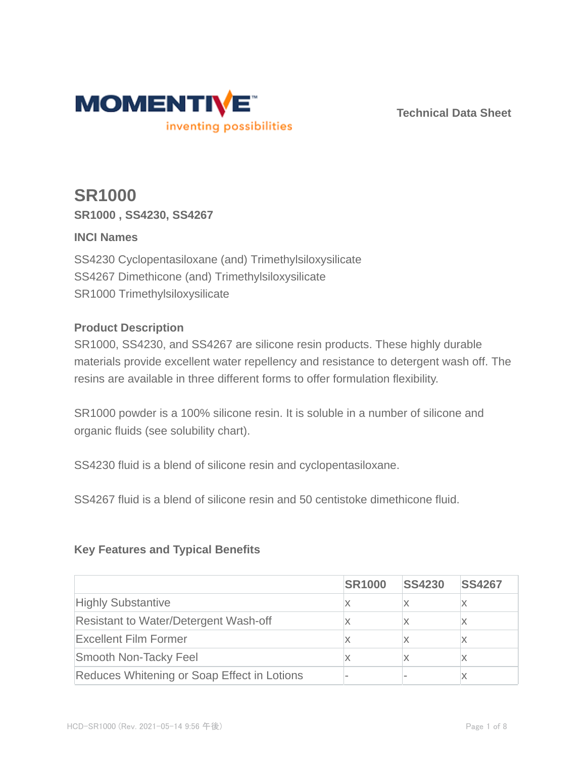

**Technical Data Sheet**

# **SR1000 SR1000 , SS4230, SS4267**

# **INCI Names**

SS4230 Cyclopentasiloxane (and) Trimethylsiloxysilicate SS4267 Dimethicone (and) Trimethylsiloxysilicate SR1000 Trimethylsiloxysilicate

# **Product Description**

SR1000, SS4230, and SS4267 are silicone resin products. These highly durable materials provide excellent water repellency and resistance to detergent wash off. The resins are available in three different forms to offer formulation flexibility.

SR1000 powder is a 100% silicone resin. It is soluble in a number of silicone and organic fluids (see solubility chart).

SS4230 fluid is a blend of silicone resin and cyclopentasiloxane.

SS4267 fluid is a blend of silicone resin and 50 centistoke dimethicone fluid.

# **Key Features and Typical Benefits**

|                                              | <b>SR1000</b> | <b>SS4230</b> | <b>SS4267</b> |
|----------------------------------------------|---------------|---------------|---------------|
| <b>Highly Substantive</b>                    |               |               |               |
| <b>Resistant to Water/Detergent Wash-off</b> |               |               |               |
| <b>Excellent Film Former</b>                 |               |               |               |
| Smooth Non-Tacky Feel                        |               |               |               |
| Reduces Whitening or Soap Effect in Lotions  |               |               |               |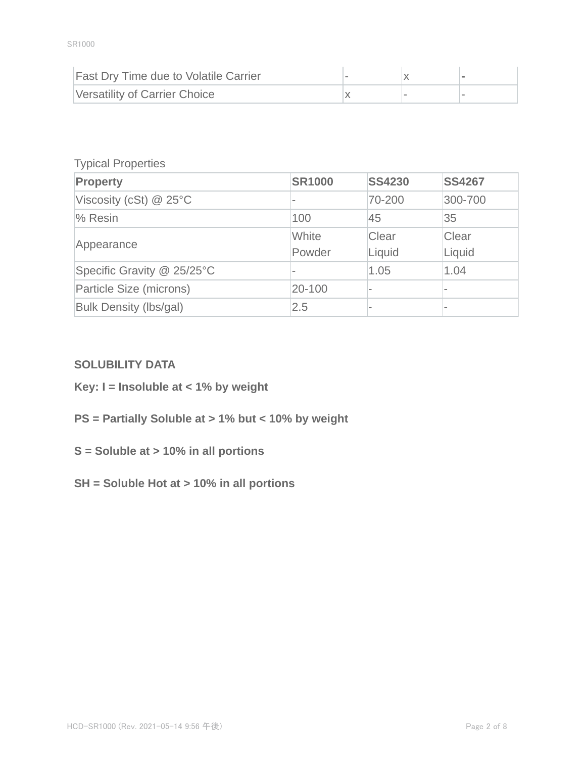| <b>Fast Dry Time due to Volatile Carrier</b> |  |  |
|----------------------------------------------|--|--|
| Versatility of Carrier Choice                |  |  |

### Typical Properties

| Property                   | <b>SR1000</b> | <b>SS4230</b> | <b>SS4267</b>            |
|----------------------------|---------------|---------------|--------------------------|
| Viscosity (cSt) $@$ 25°C   |               | 70-200        | 300-700                  |
| % Resin                    | 100           | 45            | 35                       |
|                            | White         | Clear         | Clear                    |
| Appearance                 | Powder        | Liquid        | Liquid                   |
| Specific Gravity @ 25/25°C |               | 1.05          | 1.04                     |
| Particle Size (microns)    | 20-100        |               |                          |
| Bulk Density (lbs/gal)     | 2.5           |               | $\overline{\phantom{a}}$ |

# **SOLUBILITY DATA**

- **Key: I = Insoluble at < 1% by weight**
- **PS = Partially Soluble at > 1% but < 10% by weight**
- **S = Soluble at > 10% in all portions**
- **SH = Soluble Hot at > 10% in all portions**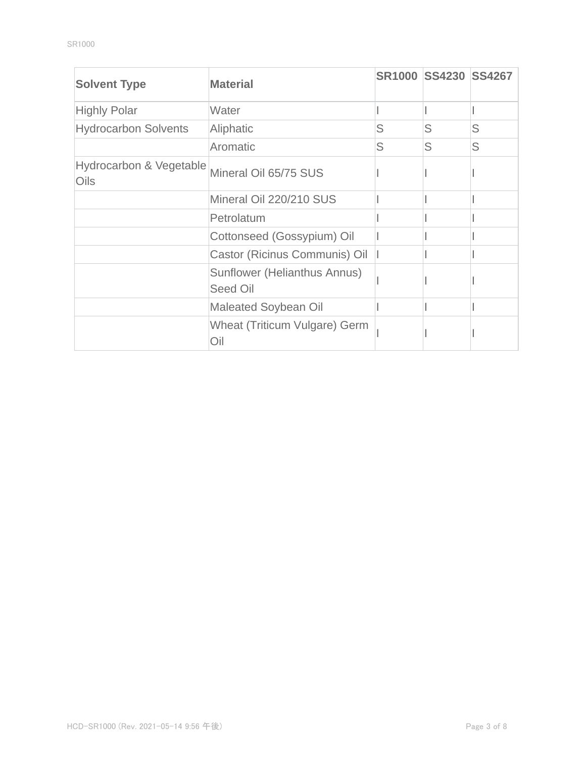| <b>Solvent Type</b>                               | <b>Material</b>                          |   | SR1000 SS4230 SS4267 |   |
|---------------------------------------------------|------------------------------------------|---|----------------------|---|
| <b>Highly Polar</b>                               | Water                                    |   |                      |   |
| <b>Hydrocarbon Solvents</b>                       | Aliphatic                                | S | S                    | S |
|                                                   | Aromatic                                 | S | S                    | S |
| <b>Hydrocarbon &amp; Vegetable</b><br><b>Oils</b> | Mineral Oil 65/75 SUS                    |   |                      |   |
|                                                   | Mineral Oil 220/210 SUS                  |   |                      |   |
|                                                   | Petrolatum                               |   |                      |   |
|                                                   | Cottonseed (Gossypium) Oil               |   |                      |   |
|                                                   | Castor (Ricinus Communis) Oil            |   |                      |   |
|                                                   | Sunflower (Helianthus Annus)<br>Seed Oil |   |                      |   |
|                                                   | <b>Maleated Soybean Oil</b>              |   |                      |   |
|                                                   | Wheat (Triticum Vulgare) Germ<br>Oil     |   |                      |   |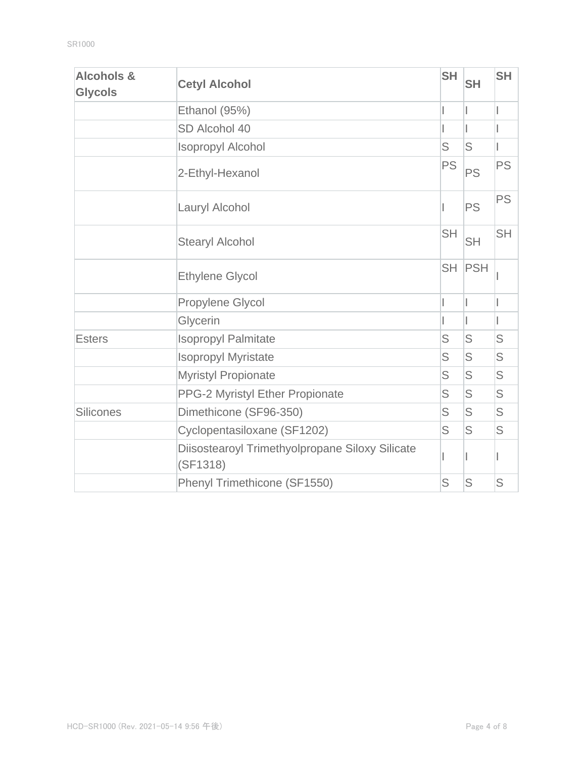| <b>Alcohols &amp;</b><br><b>Glycols</b> | <b>Cetyl Alcohol</b>                                        | <b>SH</b> | <b>SH</b> | <b>SH</b> |
|-----------------------------------------|-------------------------------------------------------------|-----------|-----------|-----------|
|                                         | Ethanol (95%)                                               |           |           |           |
|                                         | SD Alcohol 40                                               |           |           |           |
|                                         | <b>Isopropyl Alcohol</b>                                    | S         | S         |           |
|                                         | 2-Ethyl-Hexanol                                             | <b>PS</b> | <b>PS</b> | <b>PS</b> |
|                                         | Lauryl Alcohol                                              |           | <b>PS</b> | <b>PS</b> |
|                                         | <b>Stearyl Alcohol</b>                                      | <b>SH</b> | <b>SH</b> | <b>SH</b> |
|                                         | <b>Ethylene Glycol</b>                                      | <b>SH</b> | PSH       |           |
|                                         | Propylene Glycol                                            |           |           |           |
|                                         | Glycerin                                                    |           |           |           |
| <b>Esters</b>                           | <b>Isopropyl Palmitate</b>                                  | S         | S         | S         |
|                                         | <b>Isopropyl Myristate</b>                                  | S         | S         | S         |
|                                         | <b>Myristyl Propionate</b>                                  | S         | S         | S         |
|                                         | PPG-2 Myristyl Ether Propionate                             | S         | S         | S         |
| <b>Silicones</b>                        | Dimethicone (SF96-350)                                      | S         | S         | S         |
|                                         | Cyclopentasiloxane (SF1202)                                 | S         | S         | S         |
|                                         | Diisostearoyl Trimethyolpropane Siloxy Silicate<br>(SF1318) |           |           |           |
|                                         | Phenyl Trimethicone (SF1550)                                | S         | S         | S         |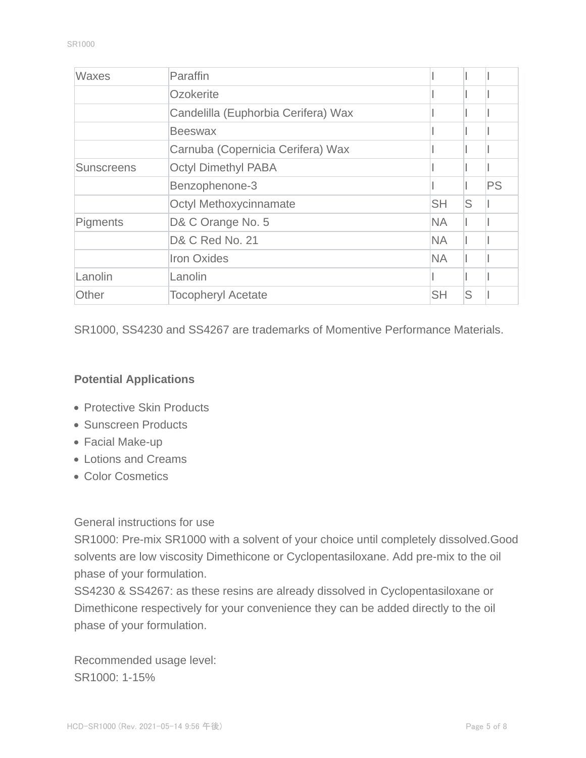| <b>Waxes</b>      | Paraffin                            |           |   |           |
|-------------------|-------------------------------------|-----------|---|-----------|
|                   | Ozokerite                           |           |   |           |
|                   | Candelilla (Euphorbia Cerifera) Wax |           |   |           |
|                   | <b>Beeswax</b>                      |           |   |           |
|                   | Carnuba (Copernicia Cerifera) Wax   |           |   |           |
| <b>Sunscreens</b> | <b>Octyl Dimethyl PABA</b>          |           |   |           |
|                   | Benzophenone-3                      |           |   | <b>PS</b> |
|                   | <b>Octyl Methoxycinnamate</b>       | <b>SH</b> | S |           |
| <b>Pigments</b>   | D& C Orange No. 5                   | <b>NA</b> |   |           |
|                   | D& C Red No. 21                     | <b>NA</b> |   |           |
|                   | <b>Iron Oxides</b>                  | <b>NA</b> |   |           |
| Lanolin           | Lanolin                             |           |   |           |
| Other             | <b>Tocopheryl Acetate</b>           | <b>SH</b> | S |           |

SR1000, SS4230 and SS4267 are trademarks of Momentive Performance Materials.

## **Potential Applications**

- Protective Skin Products
- Sunscreen Products
- Facial Make-up
- Lotions and Creams
- Color Cosmetics

General instructions for use

SR1000: Pre-mix SR1000 with a solvent of your choice until completely dissolved.Good solvents are low viscosity Dimethicone or Cyclopentasiloxane. Add pre-mix to the oil phase of your formulation.

SS4230 & SS4267: as these resins are already dissolved in Cyclopentasiloxane or Dimethicone respectively for your convenience they can be added directly to the oil phase of your formulation.

Recommended usage level: SR1000: 1-15%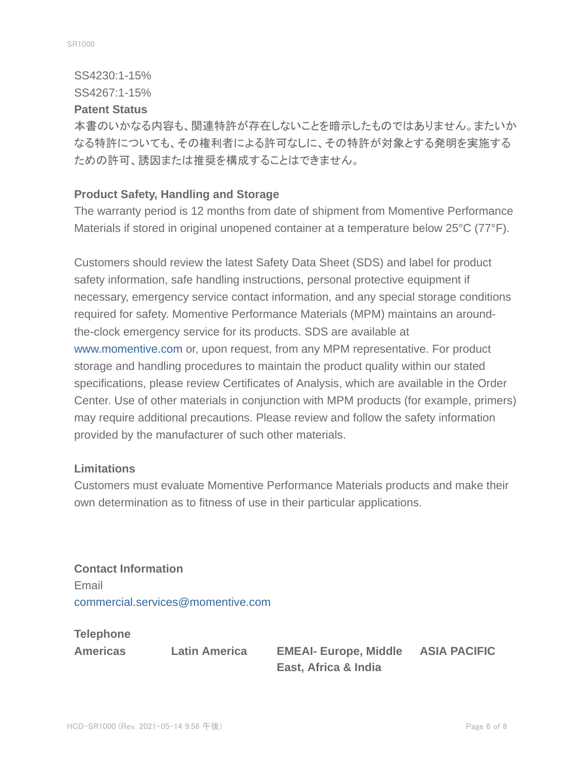SS4230:1-15%

SS4267:1-15%

#### **Patent Status**

本書のいかなる内容も、関連特許が存在しないことを暗示したものではありません。またいか なる特許についても、その権利者による許可なしに、その特許が対象とする発明を実施する ための許可、誘因または推奨を構成することはできません。

# **Product Safety, Handling and Storage**

The warranty period is 12 months from date of shipment from Momentive Performance Materials if stored in original unopened container at a temperature below 25°C (77°F).

Customers should review the latest Safety Data Sheet (SDS) and label for product safety information, safe handling instructions, personal protective equipment if necessary, emergency service contact information, and any special storage conditions required for safety. Momentive Performance Materials (MPM) maintains an aroundthe-clock emergency service for its products. SDS are available at www.momentive.com or, upon request, from any MPM representative. For product storage and handling procedures to maintain the product quality within our stated specifications, please review Certificates of Analysis, which are available in the Order Center. Use of other materials in conjunction with MPM products (for example, primers) may require additional precautions. Please review and follow the safety information provided by the manufacturer of such other materials.

# **Limitations**

Customers must evaluate Momentive Performance Materials products and make their own determination as to fitness of use in their particular applications.

**Contact Information** Email commercial.services@momentive.com

**Telephone**

**Americas Latin America EMEAI- Europe, Middle East, Africa & India**

**ASIA PACIFIC**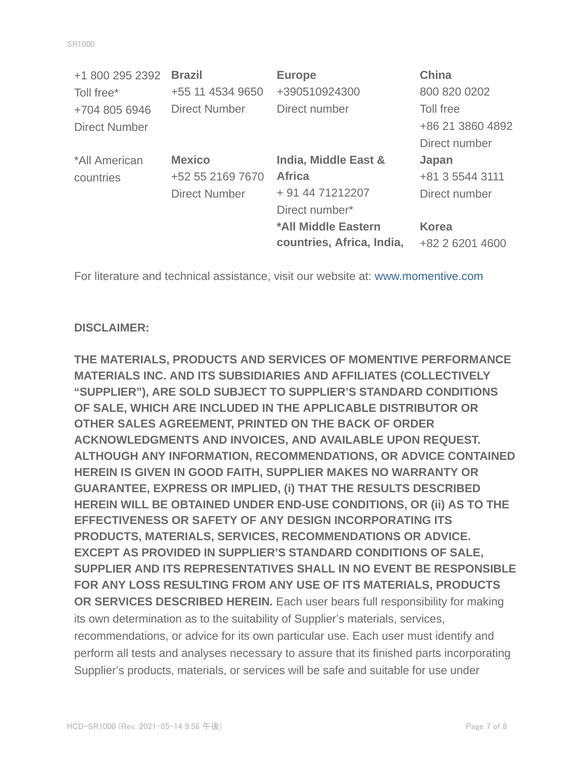| +1 800 295 2392      | <b>Brazil</b>        | <b>Europe</b>             | <b>China</b>     |
|----------------------|----------------------|---------------------------|------------------|
| Toll free*           | +55 11 4534 9650     | +390510924300             | 800 820 0202     |
| +704 805 6946        | <b>Direct Number</b> | Direct number             | Toll free        |
| <b>Direct Number</b> |                      |                           | +86 21 3860 4892 |
|                      |                      |                           | Direct number    |
| *All American        | <b>Mexico</b>        | India, Middle East &      | Japan            |
| countries            | +52 55 2169 7670     | <b>Africa</b>             | +81 3 5544 3111  |
|                      | <b>Direct Number</b> | + 91 44 71212207          | Direct number    |
|                      |                      | Direct number*            |                  |
|                      |                      | *All Middle Eastern       | <b>Korea</b>     |
|                      |                      | countries, Africa, India, | +82 2 6201 4600  |

For literature and technical assistance, visit our website at: www.momentive.com

# **DISCLAIMER:**

**THE MATERIALS, PRODUCTS AND SERVICES OF MOMENTIVE PERFORMANCE MATERIALS INC. AND ITS SUBSIDIARIES AND AFFILIATES (COLLECTIVELY "SUPPLIER"), ARE SOLD SUBJECT TO SUPPLIER'S STANDARD CONDITIONS OF SALE, WHICH ARE INCLUDED IN THE APPLICABLE DISTRIBUTOR OR OTHER SALES AGREEMENT, PRINTED ON THE BACK OF ORDER ACKNOWLEDGMENTS AND INVOICES, AND AVAILABLE UPON REQUEST. ALTHOUGH ANY INFORMATION, RECOMMENDATIONS, OR ADVICE CONTAINED HEREIN IS GIVEN IN GOOD FAITH, SUPPLIER MAKES NO WARRANTY OR GUARANTEE, EXPRESS OR IMPLIED, (i) THAT THE RESULTS DESCRIBED HEREIN WILL BE OBTAINED UNDER END-USE CONDITIONS, OR (ii) AS TO THE EFFECTIVENESS OR SAFETY OF ANY DESIGN INCORPORATING ITS PRODUCTS, MATERIALS, SERVICES, RECOMMENDATIONS OR ADVICE. EXCEPT AS PROVIDED IN SUPPLIER'S STANDARD CONDITIONS OF SALE, SUPPLIER AND ITS REPRESENTATIVES SHALL IN NO EVENT BE RESPONSIBLE FOR ANY LOSS RESULTING FROM ANY USE OF ITS MATERIALS, PRODUCTS OR SERVICES DESCRIBED HEREIN.** Each user bears full responsibility for making its own determination as to the suitability of Supplier's materials, services, recommendations, or advice for its own particular use. Each user must identify and perform all tests and analyses necessary to assure that its finished parts incorporating Supplier's products, materials, or services will be safe and suitable for use under